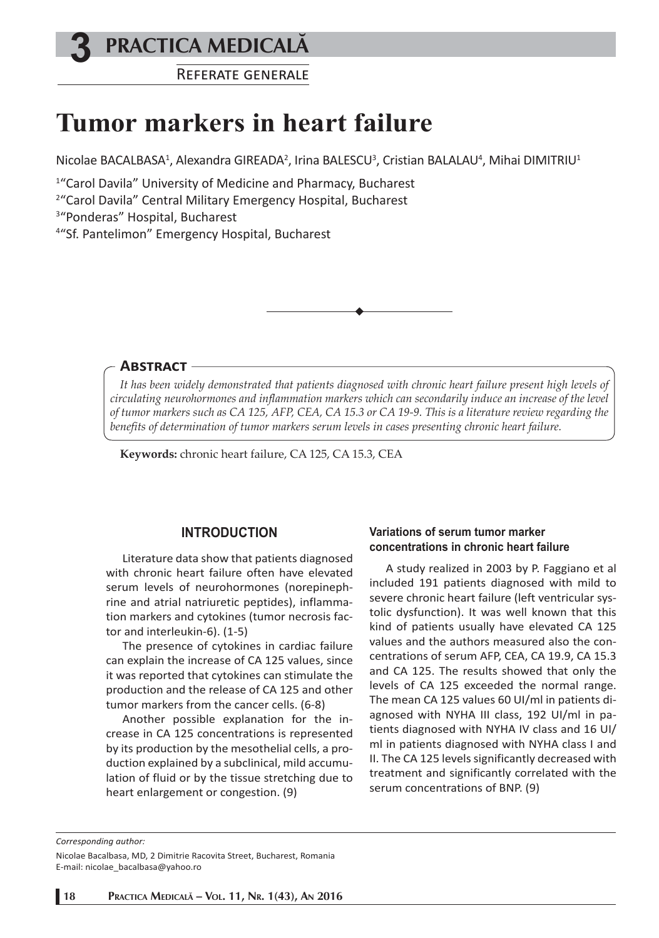## **3 PRACTICA MEDICALÅ**

REFERATE GENERALE

# **Tumor markers in heart failure**

Nicolae BACALBASA<sup>1</sup>, Alexandra GIREADA<sup>2</sup>, Irina BALESCU<sup>3</sup>, Cristian BALALAU<sup>4</sup>, Mihai DIMITRIU<sup>1</sup>

1 "Carol Davila" University of Medicine and Pharmacy, Bucharest

2 "Carol Davila" Central Military Emergency Hospital, Bucharest

3 "Ponderas" Hospital, Bucharest

4 "Sf. Pantelimon" Emergency Hospital, Bucharest

#### **ABSTRACT**

*It has been widely demonstrated that patients diagnosed with chronic heart failure present high levels of circulating neurohormones and inflammation markers which can secondarily induce an increase of the level of tumor markers such as CA 125, AFP, CEA, CA 15.3 or CA 19-9. This is a literature review regarding the benefits of determination of tumor markers serum levels in cases presenting chronic heart failure.*

**Keywords:** chronic heart failure, CA 125, CA 15.3, CEA

### **INTRODUCTION**

Literature data show that patients diagnosed with chronic heart failure often have elevated serum levels of neurohormones (norepinephrine and atrial natriuretic peptides), inflammation markers and cytokines (tumor necrosis factor and interleukin-6). (1-5)

The presence of cytokines in cardiac failure can explain the increase of CA 125 values, since it was reported that cytokines can stimulate the production and the release of CA 125 and other tumor markers from the cancer cells. (6-8)

Another possible explanation for the increase in CA 125 concentrations is represented by its production by the mesothelial cells, a production explained by a subclinical, mild accumulation of fluid or by the tissue stretching due to heart enlargement or congestion. (9)

#### **Variations of serum tumor marker concentrations in chronic heart failure**

A study realized in 2003 by P. Faggiano et al included 191 patients diagnosed with mild to severe chronic heart failure (left ventricular systolic dysfunction). It was well known that this kind of patients usually have elevated CA 125 values and the authors measured also the concentrations of serum AFP, CEA, CA 19.9, CA 15.3 and CA 125. The results showed that only the levels of CA 125 exceeded the normal range. The mean CA 125 values 60 UI/ml in patients diagnosed with NYHA III class, 192 UI/ml in patients diagnosed with NYHA IV class and 16 UI/ ml in patients diagnosed with NYHA class I and II. The CA 125 levels significantly decreased with treatment and significantly correlated with the serum concentrations of BNP. (9)

*Corresponding author:* 

Nicolae Bacalbasa, MD, 2 Dimitrie Racovita Street, Bucharest, Romania E-mail: nicolae\_bacalbasa@yahoo.ro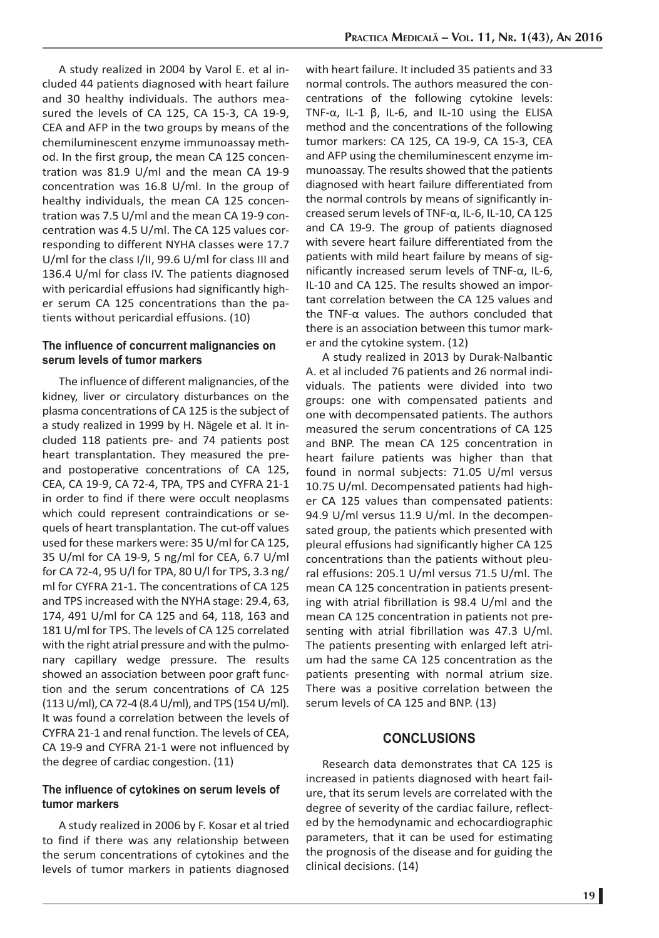A study realized in 2004 by Varol E. et al included 44 patients diagnosed with heart failure and 30 healthy individuals. The authors measured the levels of CA 125, CA 15-3, CA 19-9, CEA and AFP in the two groups by means of the chemiluminescent enzyme immunoassay method. In the first group, the mean CA 125 concentration was 81.9 U/ml and the mean CA 19-9 concentration was 16.8 U/ml. In the group of healthy individuals, the mean CA 125 concentration was 7.5 U/ml and the mean CA 19-9 concentration was 4.5 U/ml. The CA 125 values corresponding to different NYHA classes were 17.7 U/ml for the class I/II, 99.6 U/ml for class III and 136.4 U/ml for class IV. The patients diagnosed with pericardial effusions had significantly higher serum CA 125 concentrations than the patients without pericardial effusions. (10)

#### **The influence of concurrent malignancies on serum levels of tumor markers**

The influence of different malignancies, of the kidney, liver or circulatory disturbances on the plasma concentrations of CA 125 is the subject of a study realized in 1999 by H. Nägele et al. It included 118 patients pre- and 74 patients post heart transplantation. They measured the preand postoperative concentrations of CA 125, CEA, CA 19-9, CA 72-4, TPA, TPS and CYFRA 21-1 in order to find if there were occult neoplasms which could represent contraindications or sequels of heart transplantation. The cut-off values used for these markers were: 35 U/ml for CA 125, 35 U/ml for CA 19-9, 5 ng/ml for CEA, 6.7 U/ml for CA 72-4, 95 U/l for TPA, 80 U/l for TPS, 3.3 ng/ ml for CYFRA 21-1. The concentrations of CA 125 and TPS increased with the NYHA stage: 29.4, 63, 174, 491 U/ml for CA 125 and 64, 118, 163 and 181 U/ml for TPS. The levels of CA 125 correlated with the right atrial pressure and with the pulmonary capillary wedge pressure. The results showed an association between poor graft function and the serum concentrations of CA 125 (113 U/ml), CA 72-4 (8.4 U/ml), and TPS (154 U/ml). It was found a correlation between the levels of CYFRA 21-1 and renal function. The levels of CEA, CA 19-9 and CYFRA 21-1 were not influenced by the degree of cardiac congestion. (11)

#### **The influence of cytokines on serum levels of tumor markers**

A study realized in 2006 by F. Kosar et al tried to find if there was any relationship between the serum concentrations of cytokines and the levels of tumor markers in patients diagnosed with heart failure. It included 35 patients and 33 normal controls. The authors measured the concentrations of the following cytokine levels: TNF-α, IL-1 β, IL-6, and IL-10 using the ELISA method and the concentrations of the following tumor markers: CA 125, CA 19-9, CA 15-3, CEA and AFP using the chemiluminescent enzyme immunoassay. The results showed that the patients diagnosed with heart failure differentiated from the normal controls by means of significantly increased serum levels of TNF-α, IL-6, IL-10, CA 125 and CA 19-9. The group of patients diagnosed with severe heart failure differentiated from the patients with mild heart failure by means of significantly increased serum levels of TNF-α, IL-6, IL-10 and CA 125. The results showed an important correlation between the CA 125 values and the TNF-α values. The authors concluded that there is an association between this tumor marker and the cytokine system. (12)

A study realized in 2013 by Durak-Nalbantic A. et al included 76 patients and 26 normal individuals. The patients were divided into two groups: one with compensated patients and one with decompensated patients. The authors measured the serum concentrations of CA 125 and BNP. The mean CA 125 concentration in heart failure patients was higher than that found in normal subjects: 71.05 U/ml versus 10.75 U/ml. Decompensated patients had higher CA 125 values than compensated patients: 94.9 U/ml versus 11.9 U/ml. In the decompensated group, the patients which presented with pleural effusions had significantly higher CA 125 concentrations than the patients without pleural effusions: 205.1 U/ml versus 71.5 U/ml. The mean CA 125 concentration in patients presenting with atrial fibrillation is 98.4 U/ml and the mean CA 125 concentration in patients not presenting with atrial fibrillation was 47.3 U/ml. The patients presenting with enlarged left atrium had the same CA 125 concentration as the patients presenting with normal atrium size. There was a positive correlation between the serum levels of CA 125 and BNP. (13)

#### **CONCLUSIONS**

Research data demonstrates that CA 125 is increased in patients diagnosed with heart failure, that its serum levels are correlated with the degree of severity of the cardiac failure, reflected by the hemodynamic and echocardiographic parameters, that it can be used for estimating the prognosis of the disease and for guiding the clinical decisions. (14)